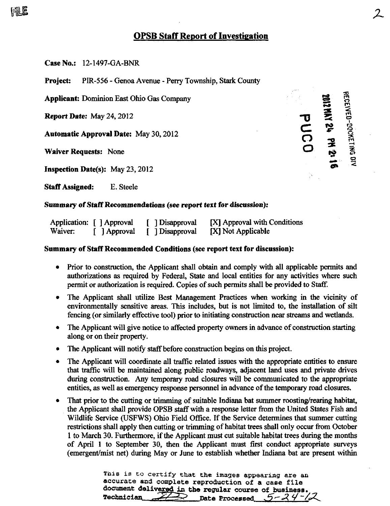# OPSB Staff Report of Investigation

Case No.: 12-1497-GA-BNR

FILE

Project: PIR-556 - Genoa Avenue - Perry Township, Stark County

Applicant: Dominion East Ohio Gas Company

Report Date: May 24, 2012

Automatic Approval Date: May 30, 2012

**Inspection Date(s):** May  $23,2012$ 

Staff Assigned: E. Steele

Waiver Requests: None  $\overrightarrow{O} = \frac{1}{8}$ 

#### Summary of Staff Recommendations (see report text for discussion):

|         | Application: [ ] Approval | [ ] Disapproval | [X] Approval with Conditions |
|---------|---------------------------|-----------------|------------------------------|
| Waiver: | [ ] Approval              | Disapproval     | [X] Not Applicable           |

#### Summary of Staff Recommended Conditions (see report text for discussion):

- Prior to construction, the Applicant shall obtain and comply with all applicable permits and authorizations as required by Federal, State and local entities for any activities where such permit or authorization is required. Copies of such permits shall be provided to Staff.
- The Applicant shall utilize Best Management Practices when working in the vicinity of environmentally sensitive areas. This includes, but is not limited to, the installation of silt fencing (or similarly effective tool) prior to initiating construction near streams and wetlands.
- The Applicant will give notice to affected property owners in advance of construction starting along or on their property.
- The Applicant will notify staff before construction begins on this project.
- The Applicant will coordinate all traffic related issues with the appropriate entities to ensure that traffic will be maintained along public roadways, adjacent land uses and private drives during construction. Any temporary road closures will be commimicated to the appropriate entities, as well as emergency response personnel in advance of the temporary road closures. •
- That prior to the cutting or trimming of suitable Indiana bat summer roosting/rearing habitat, the Applicant shall provide OPSB staff with a response letter from the United States Fish and Wildlife Service (USFWS) Ohio Field Office. If the Service determines that summer cutting restrictions shall apply then cutting or trimming of habitat trees shall only occur from October 1 to March 30. Furthermore, if the Applicant must cut suitable habitat trees during the months of April 1 to September 30, then the Applicant must first conduct appropriate surveys (emergent/mist net) during May or June to establish whether Indiana bat are present within

This is to certify that the images appearing are an accurate and complete reproduction of a case file document delivered in the regular course of business. Technician  $\angle$  Date Processed  $5 - 24 - 2$